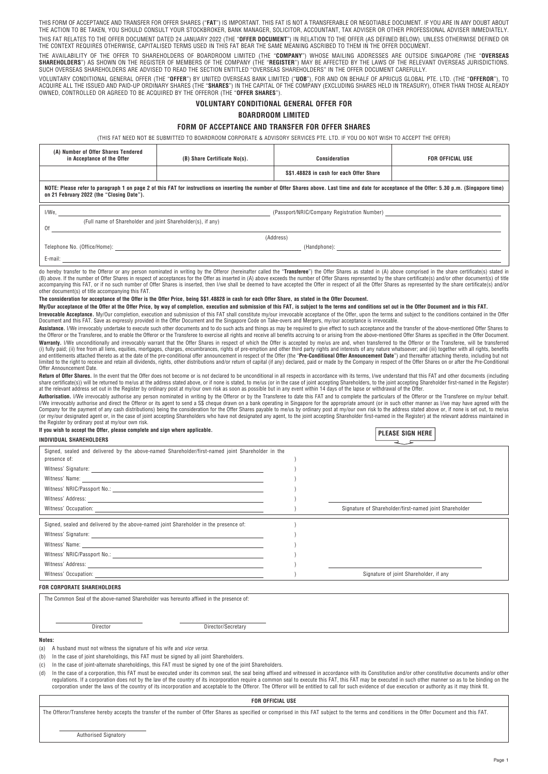THIS FORM OF ACCEPTANCE AND TRANSFER FOR OFFER SHARES ("**FAT**") IS IMPORTANT. THIS FAT IS NOT A TRANSFERABLE OR NEGOTIABLE DOCUMENT. IF YOU ARE IN ANY DOUBT ABOUT THE ACTION TO BE TAKEN, YOU SHOULD CONSULT YOUR STOCKBROKER, BANK MANAGER, SOLICITOR, ACCOUNTANT, TAX ADVISER OR OTHER PROFESSIONAL ADVISER IMMEDIATELY. THIS FAT RELATES TO THE OFFER DOCUMENT DATED 24 JANUARY 2022 (THE "**OFFER DOCUMENT**") IN RELATION TO THE OFFER (AS DEFINED BELOW). UNLESS OTHERWISE DEFINED OR THE CONTEXT REQUIRES OTHERWISE, CAPITALISED TERMS USED IN THIS FAT BEAR THE SAME MEANING ASCRIBED TO THEM IN THE OFFER DOCUMENT.

THE AVAILABILITY OF THE OFFER TO SHAREHOLDERS OF BOARDROOM LIMITED (THE "**COMPANY**") WHOSE MAILING ADDRESSES ARE OUTSIDE SINGAPORE (THE "**OVERSEAS**<br>**SHAREHOLDERS**") AS SHOWN ON THE REGISTER OF MEMBERS OF THE COMPANY (THE "

VOLUNTARY CONDITIONAL GENERAL OFFER (THE "**OFFER**") BY UNITED OVERSEAS BANK LIMITED ("**UOB**"), FOR AND ON BEHALF OF APRICUS GLOBAL PTE. LTD. (THE "**OFFEROR**"), TO<br>ACQUIRE ALL THE ISSUED AND PAID-UP ORDINARY SHARES (THE "**S** 

## **VOLUNTARY CONDITIONAL GENERAL OFFER FOR**

## **BOARDROOM LIMITED**

## **FORM OF ACCEPTANCE AND TRANSFER FOR OFFER SHARES**

(THIS FAT NEED NOT BE SUBMITTED TO BOARDROOM CORPORATE & ADVISORY SERVICES PTE. LTD. IF YOU DO NOT WISH TO ACCEPT THE OFFER)

| (A) Number of Offer Shares Tendered<br>in Acceptance of the Offer                                                                                                                                                                               | (B) Share Certificate No(s).                | Consideration                           | FOR OFFICIAL USE |  |  |
|-------------------------------------------------------------------------------------------------------------------------------------------------------------------------------------------------------------------------------------------------|---------------------------------------------|-----------------------------------------|------------------|--|--|
|                                                                                                                                                                                                                                                 |                                             | S\$1.48828 in cash for each Offer Share |                  |  |  |
| NOTE: Please refer to paragraph 1 on page 2 of this FAT for instructions on inserting the number of Offer Shares above. Last time and date for acceptance of the Offer: 5.30 p.m. (Singapore time)<br>on 21 February 2022 (the "Closing Date"). |                                             |                                         |                  |  |  |
| I/We,                                                                                                                                                                                                                                           | (Passport/NRIC/Company Registration Number) |                                         |                  |  |  |
| (Full name of Shareholder and joint Shareholder(s), if any)<br>0f                                                                                                                                                                               |                                             |                                         |                  |  |  |
| (Address)                                                                                                                                                                                                                                       |                                             |                                         |                  |  |  |
| Telephone No. (Office/Home):                                                                                                                                                                                                                    | (Handphone):                                |                                         |                  |  |  |
| E-mail:                                                                                                                                                                                                                                         |                                             |                                         |                  |  |  |

do hereby transfer to the Offeror or any person nominated in writing by the Offeror (hereinafter called the "**Transferee**") the Offer Shares as stated in (A) above comprised in the share certificate(s) stated in (B) above. If the number of Offer Shares in respect of acceptances for the Offer as inserted in (A) above exceeds the number of Offer Shares represented by the share certificate(s) and/or other document(s) of title<br>accompa other document(s) of title accompanying this FAT.

## **The consideration for acceptance of the Offer is the Offer Price, being S\$1.48828 in cash for each Offer Share, as stated in the Offer Document.**

**My/Our acceptance of the Offer at the Offer Price, by way of completion, execution and submission of this FAT, is subject to the terms and conditions set out in the Offer Document and in this FAT. Irrevocable Acceptance.** My/Our completion, execution and submission of this FAT shall constitute my/our irrevocable acceptance of the Offer, upon the terms and subject to the conditions contained in the Offer<br>Document an

**Assistance.** I/We irrevocably undertake to execute such other documents and to do such acts and things as may be required to give effect to such acceptance and the transfer of the above-mentioned Offer Shares to<br>the Offer Warranty. I/We unconditionally and irrevocably warrant that the Offer Shares in respect of which the Offer is accepted by me/us are and, when transferred to the Offeror or the Transferee, will be transferred (i) fully paid; (ii) free from all liens, equities, mortgages, charges, encumbrances, rights of pre-emption and other third party rights and interests of any nature whatsoever; and (iii) together with all rights, benefits and entitlements attached thereto as at the date of the pre-conditional offer announcement in respect of the Offer (the "**Pre-Conditional Offer Announcement Date**") and thereafter attaching thereto, including but not<br>limit Offer Announcement Date.

**Return of Offer Shares**. In the event that the Offer does not become or is not declared to be unconditional in all respects in accordance with its terms, I/we understand that this FAT and other documents (including<br>share at the relevant address set out in the Register by ordinary post at my/our own risk as soon as possible but in any event within 14 days of the lapse or withdrawal of the Offer.

Authorisation. I/We irrevocably authorise any person nominated in writing by the Offeror or by the Transferee to date this FAT and to complete the particulars of the Offeror or the Transferee on my/our behalf. I/We irrevocably authorise and direct the Offeror or its agent to send a S\$ cheque drawn on a bank operating in Singapore for the appropriate amount (or in such other manner as I/we may have agreed with the Company for the payment of any cash distributions) being the consideration for the Offer Shares payable to me/us by ordinary post at my/our own risk to the address stated above or, if none is set out, to me/us (or my/our designated agent or, in the case of joint accepting Shareholders who have not designated any agent, to the joint accepting Shareholder first-named in the Register) at the relevant address maintained in the Register by ordinary post at my/our own risk.

**PLEASE SIGN HERE** 

| INDIVIDUAL SHAREHOLDERS                                                                                          | FLEADE DIUN NENE                                       |
|------------------------------------------------------------------------------------------------------------------|--------------------------------------------------------|
| Signed, sealed and delivered by the above-named Shareholder/first-named joint Shareholder in the<br>presence of: |                                                        |
|                                                                                                                  |                                                        |
|                                                                                                                  |                                                        |
|                                                                                                                  |                                                        |
|                                                                                                                  |                                                        |
|                                                                                                                  | Signature of Shareholder/first-named joint Shareholder |
| Signed, sealed and delivered by the above-named joint Shareholder in the presence of:                            |                                                        |
|                                                                                                                  |                                                        |
|                                                                                                                  |                                                        |
|                                                                                                                  |                                                        |
|                                                                                                                  |                                                        |
|                                                                                                                  | Signature of joint Shareholder, if any                 |
| FOR CORPORATE SHAREHOLDERS                                                                                       |                                                        |

The Common Seal of the above-named Shareholder was hereunto affixed in the presence of:

Director Director/Secretary

#### **Notes:**

(a) A husband must not witness the signature of his wife and *vice versa*.

**If you wish to accept the Offer, please complete and sign where applicable.**

(b) In the case of joint shareholdings, this FAT must be signed by all joint Shareholders.

(c) In the case of joint-alternate shareholdings, this FAT must be signed by one of the joint Shareholders.

(d) In the case of a corporation, this FAT must be executed under its common seal, the seal being affixed and witnessed in accordance with its Constitution and/or other constitutive documents and/or other regulations. If a corporation does not by the law of the country of its incorporation require a common seal to execute this FAT, this FAT, may be executed in such other manner so as to be binding on the require of the coun corporation under the laws of the country of its incorporation and acceptable to the Offeror. The Offeror will be entitled to call for such evidence of due execution or authority as it may think fit.

**FOR OFFICIAL USE**

The Offeror/Transferee hereby accepts the transfer of the number of Offer Shares as specified or comprised in this FAT subject to the terms and conditions in the Offer Document and this FAT.

Authorised Signatory